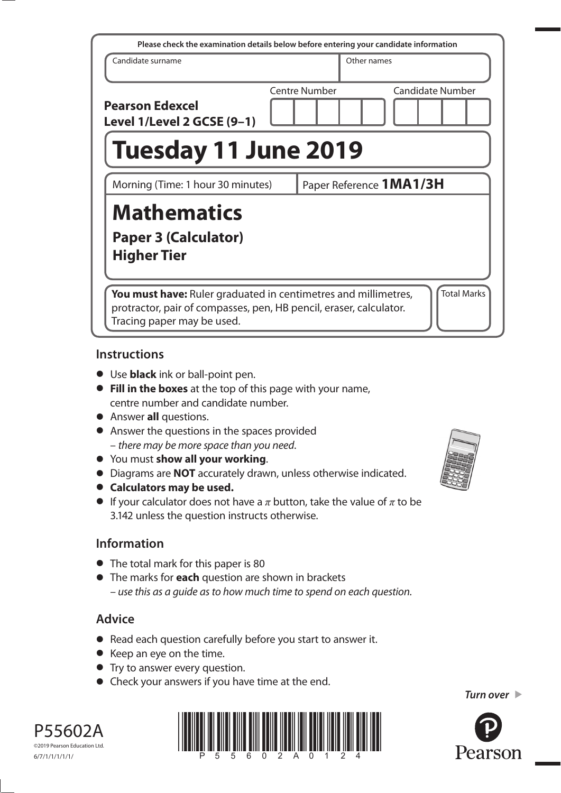| Please check the examination details below before entering your candidate information                                                                                                    |  |                         |             |                         |  |  |  |
|------------------------------------------------------------------------------------------------------------------------------------------------------------------------------------------|--|-------------------------|-------------|-------------------------|--|--|--|
| Candidate surname                                                                                                                                                                        |  |                         | Other names |                         |  |  |  |
| <b>Pearson Edexcel</b><br>Level 1/Level 2 GCSE (9-1)                                                                                                                                     |  | <b>Centre Number</b>    |             | <b>Candidate Number</b> |  |  |  |
| <b>Tuesday 11 June 2019</b>                                                                                                                                                              |  |                         |             |                         |  |  |  |
| Morning (Time: 1 hour 30 minutes)                                                                                                                                                        |  | Paper Reference 1MA1/3H |             |                         |  |  |  |
| <b>Mathematics</b><br>Paper 3 (Calculator)<br><b>Higher Tier</b>                                                                                                                         |  |                         |             |                         |  |  |  |
| <b>Total Marks</b><br>You must have: Ruler graduated in centimetres and millimetres,<br>protractor, pair of compasses, pen, HB pencil, eraser, calculator.<br>Tracing paper may be used. |  |                         |             |                         |  |  |  |

### **Instructions**

- Use **black** ink or ball-point pen.
- **Fill in the boxes** at the top of this page with your name, centre number and candidate number.
- Answer **all** questions.
- Answer the questions in the spaces provided – there may be more space than you need.
- You must **show all your working**.
- Diagrams are **NOT** accurately drawn, unless otherwise indicated.
- **Calculators may be used.**
- If your calculator does not have a  $\pi$  button, take the value of  $\pi$  to be 3.142 unless the question instructs otherwise.

# **Information**

- The total mark for this paper is 80
- The marks for **each** question are shown in brackets – use this as a guide as to how much time to spend on each question.

# **Advice**

- Read each question carefully before you start to answer it.
- Keep an eye on the time.
- Try to answer every question.
- Check your answers if you have time at the end.





©2019 Pearson Education Ltd. 6/7/1/1/1/1/1/



*Turn over*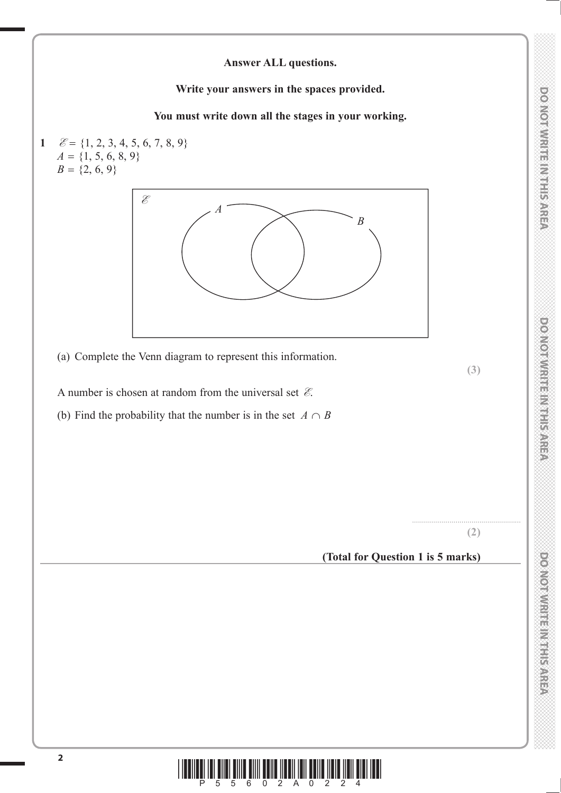# **DONOINMENTER IN SAREX**

### **Answer ALL questions.**

**Write your answers in the spaces provided.**

**You must write down all the stages in your working.**

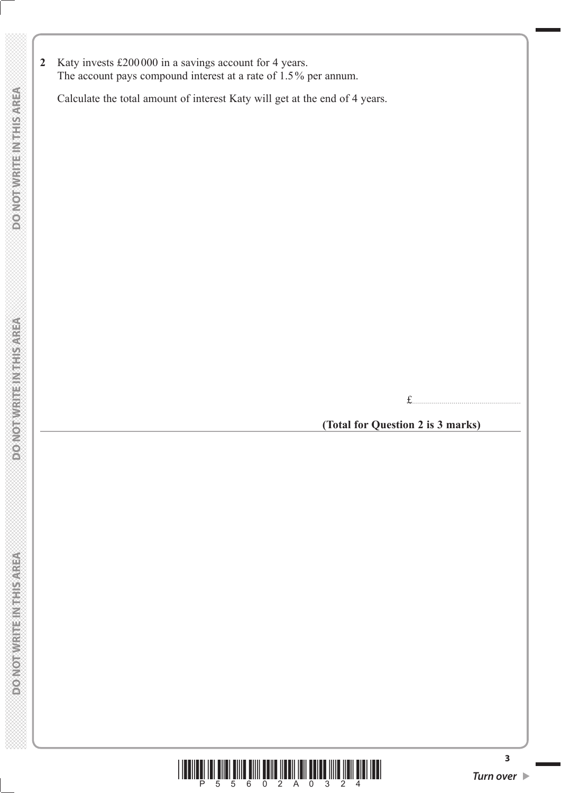**2** Katy invests £200 000 in a savings account for 4 years. The account pays compound interest at a rate of 1.5 % per annum.

Calculate the total amount of interest Katy will get at the end of 4 years.

£.......................................................

**(Total for Question 2 is 3 marks)**



**3**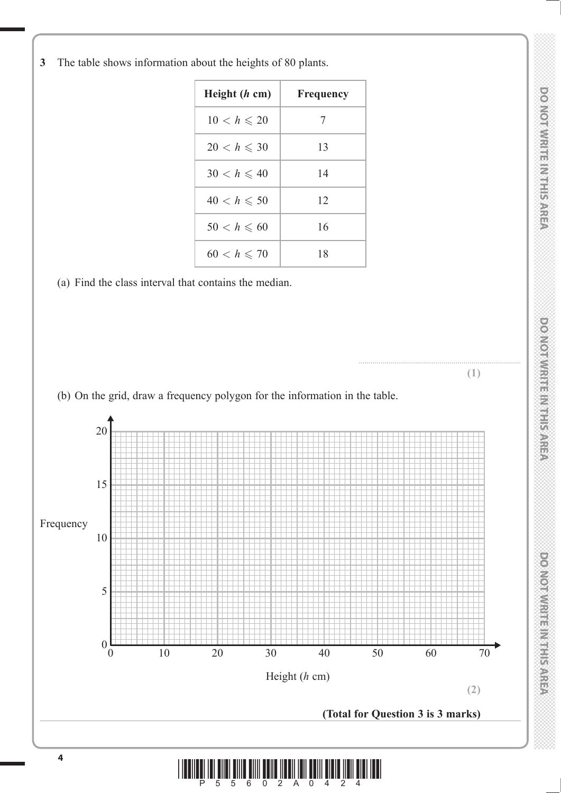**3** The table shows information about the heights of 80 plants.

| Height $(h \text{ cm})$ | Frequency |
|-------------------------|-----------|
| $10 < h \leqslant 20$   | 7         |
| $20 < h \leqslant 30$   | 13        |
| $30 < h \leq 40$        | 14        |
| $40 < h \leqslant 50$   | 12        |
| $50 < h \leqslant 60$   | 16        |
| $60 < h \leq 70$        | 18        |

(a) Find the class interval that contains the median.



**THIS AREA DO NOT WRITE IN THIS AREA DO NOT WRITE IN THIS AREA DO NOT WRITE IN THIS AREA DO NOT WRITE IN THIS AREA DO NOT WRITE IN THIS AREA DO NOT WRITE IN THE INTERNATIONAL CONTINUES.** DO NOTWRITE IN THIS AREA

**DONOINMENTERS** 

**POWOTWICHTS INTERNATION**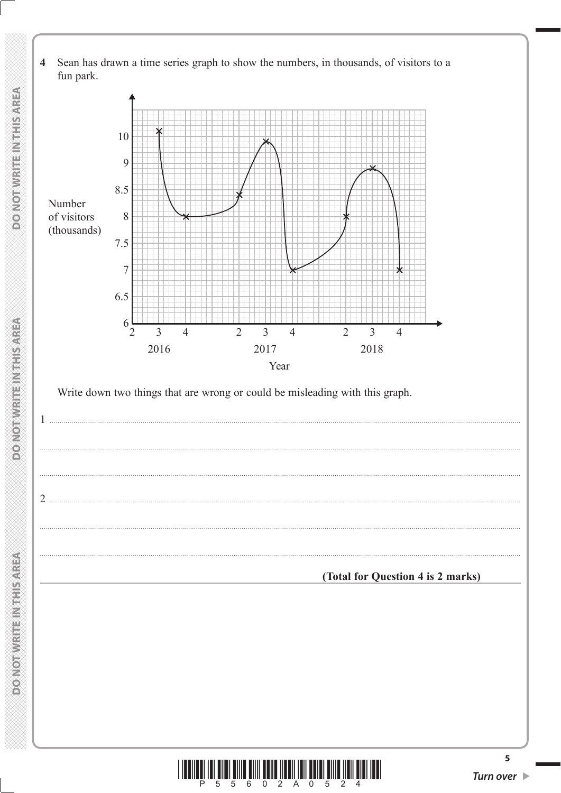Sean has drawn a time series graph to show the numbers, in thousands, of visitors to a  $\overline{\mathbf{4}}$ fun park.



Write down two things that are wrong or could be misleading with this graph.

(Total for Question 4 is 2 marks)



 $\overline{5}$ 

 $\mathbf{1}$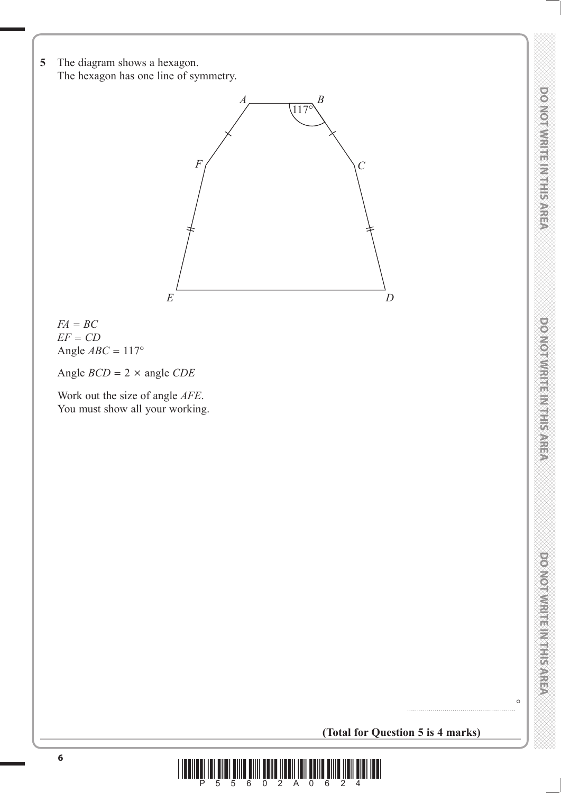**DONOTWRITE MITHSAREA** 



 $FA = BC$ *EF CD* Angle  $ABC = 117^\circ$ 

Angle  $BCD = 2 \times \text{angle } CDE$ 

 Work out the size of angle *AFE*. You must show all your working.

**(Total for Question 5 is 4 marks)**

.......................................................°

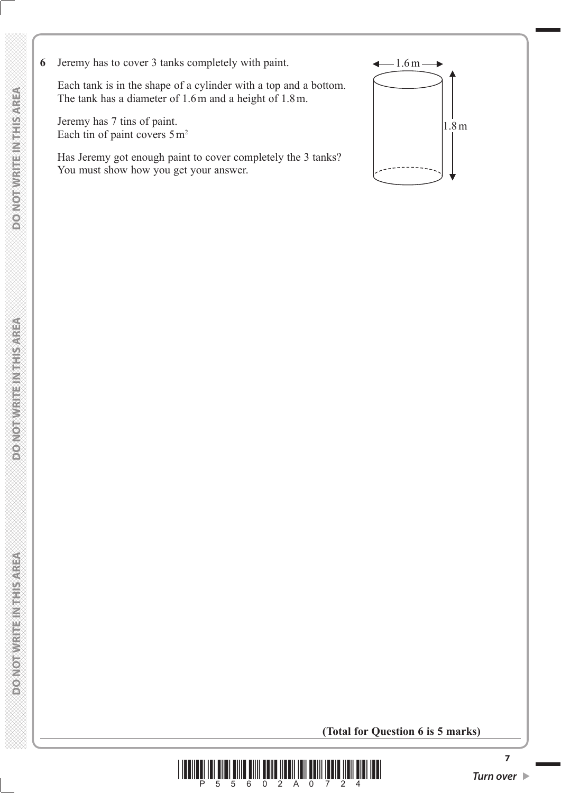**6** Jeremy has to cover 3 tanks completely with paint.  $\leftarrow$  1.6 m –

 Each tank is in the shape of a cylinder with a top and a bottom. The tank has a diameter of 1.6 m and a height of 1.8 m.

 Jeremy has 7 tins of paint. Each tin of paint covers  $5 \text{ m}^2$ 

 Has Jeremy got enough paint to cover completely the 3 tanks? You must show how you get your answer.



**(Total for Question 6 is 5 marks)**

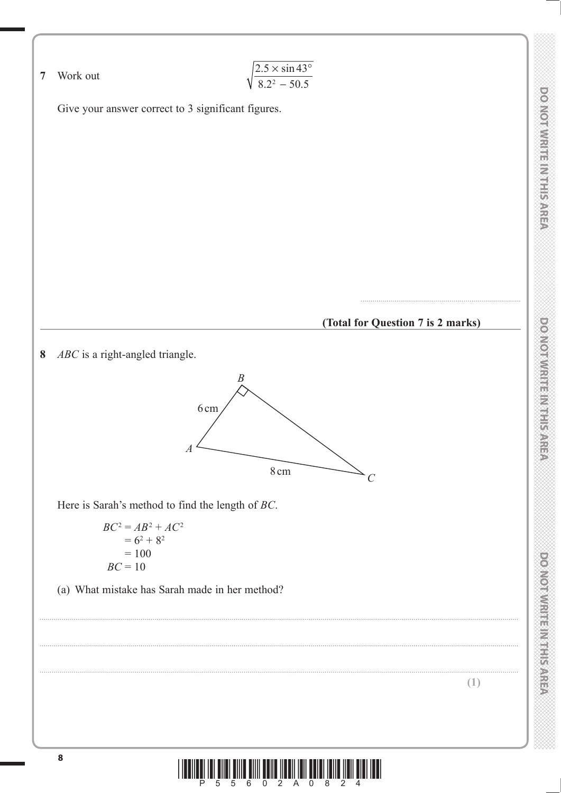

Р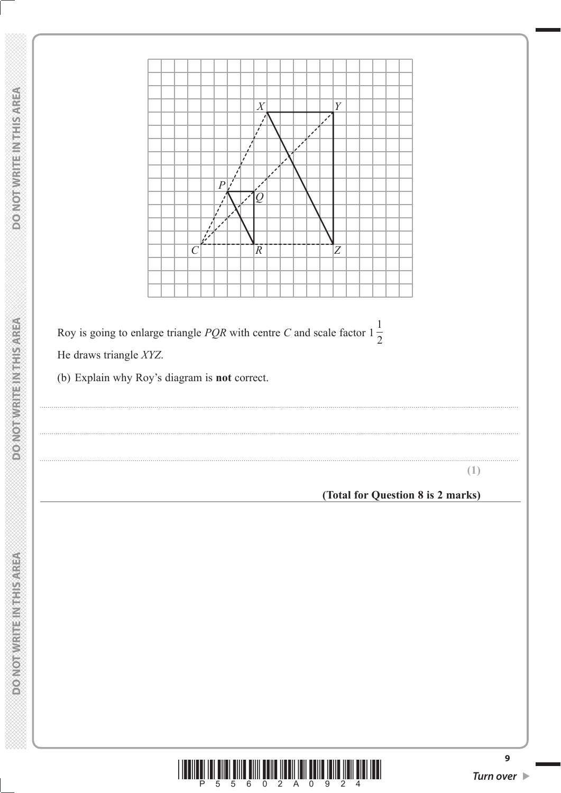

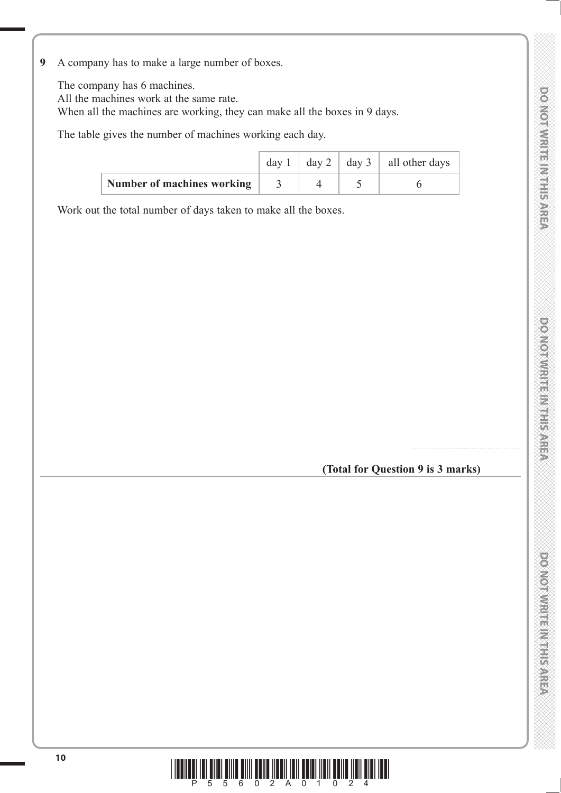- **DONOINMENTERS**
- **THIS AREA DO NOT WRITE IN THIS AREA DO NOT WRITE IN THIS AREA DO NOT WRITE IN THIS AREA DO NOT WRITE IN THIS AREA DO NOT WRITE IN THIS AREA DO NOT WRITE IN THE INTERNATIONAL CONTINUES.** DO NOTWRITE MITHIER AREA

**9** A company has to make a large number of boxes.

The company has 6 machines.

All the machines work at the same rate.

When all the machines are working, they can make all the boxes in 9 days.

The table gives the number of machines working each day.

|                            |  | day 1   day 2   day 3   all other days |
|----------------------------|--|----------------------------------------|
| Number of machines working |  |                                        |

Work out the total number of days taken to make all the boxes.

**(Total for Question 9 is 3 marks)**

.......................................................

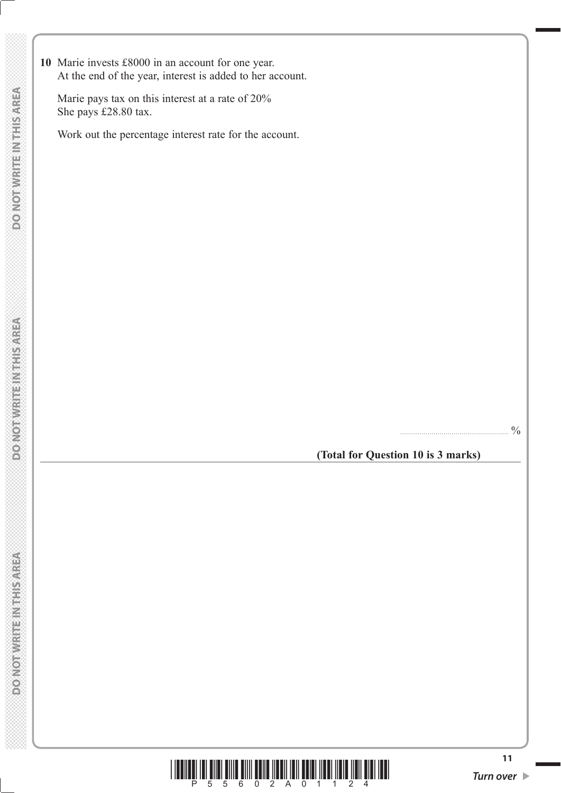**10** Marie invests £8000 in an account for one year. At the end of the year, interest is added to her account.

 Marie pays tax on this interest at a rate of 20% She pays £28.80 tax.

Work out the percentage interest rate for the account.

....................................................... %

**(Total for Question 10 is 3 marks)**

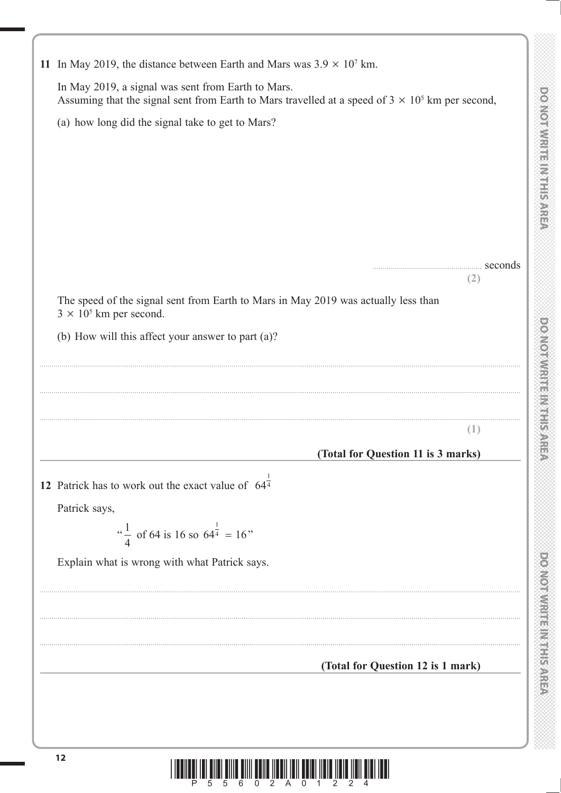| 11 In May 2019, the distance between Earth and Mars was $3.9 \times 10^7$ km.                                                                                 |
|---------------------------------------------------------------------------------------------------------------------------------------------------------------|
| In May 2019, a signal was sent from Earth to Mars.<br>Assuming that the signal sent from Earth to Mars travelled at a speed of $3 \times 10^5$ km per second, |
| (a) how long did the signal take to get to Mars?                                                                                                              |
|                                                                                                                                                               |
|                                                                                                                                                               |
|                                                                                                                                                               |
|                                                                                                                                                               |
|                                                                                                                                                               |
| seconds                                                                                                                                                       |
| (2)<br>The speed of the signal sent from Earth to Mars in May 2019 was actually less than                                                                     |
| $3 \times 10^5$ km per second.                                                                                                                                |
| (b) How will this affect your answer to part (a)?                                                                                                             |
|                                                                                                                                                               |
|                                                                                                                                                               |
|                                                                                                                                                               |
| (1)                                                                                                                                                           |
| (Total for Question 11 is 3 marks)                                                                                                                            |
| 12 Patrick has to work out the exact value of $64^{\frac{1}{4}}$                                                                                              |
| Patrick says,                                                                                                                                                 |
| " $\frac{1}{4}$ of 64 is 16 so 64 $\frac{1}{4}$ = 16"                                                                                                         |
| Explain what is wrong with what Patrick says.                                                                                                                 |
|                                                                                                                                                               |
|                                                                                                                                                               |
|                                                                                                                                                               |
| (Total for Question 12 is 1 mark)                                                                                                                             |
|                                                                                                                                                               |
|                                                                                                                                                               |
|                                                                                                                                                               |
| 12                                                                                                                                                            |
| <u>III IIII AIII AIII AAN INA INA MINDI III II AHA III AHA AHA</u>                                                                                            |
|                                                                                                                                                               |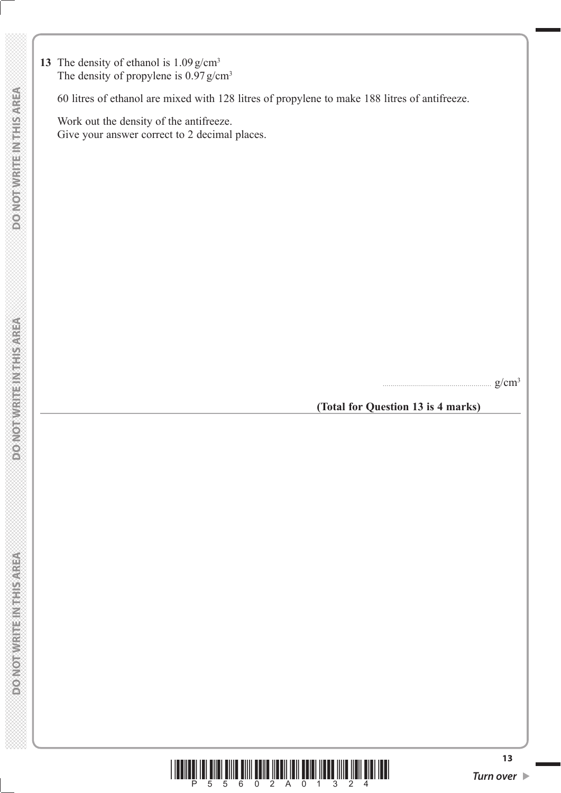13 The density of ethanol is  $1.09 \text{ g/cm}^3$ The density of propylene is  $0.97$  g/cm<sup>3</sup>

60 litres of ethanol are mixed with 128 litres of propylene to make 188 litres of antifreeze.

 Work out the density of the antifreeze. Give your answer correct to 2 decimal places.

....................................................... g/cm3

**(Total for Question 13 is 4 marks)**



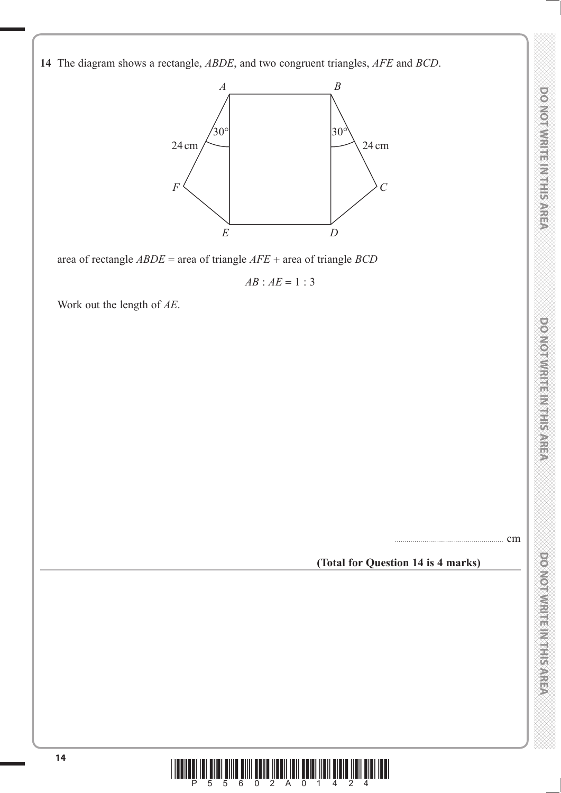**14** The diagram shows a rectangle, *ABDE*, and two congruent triangles, *AFE* and *BCD*.



area of rectangle *ABDE* = area of triangle *AFE* + area of triangle *BCD* 

 $AB : AE = 1 : 3$ 

Work out the length of *AE*.

....................................................... cm

### **(Total for Question 14 is 4 marks)**



DO NOT WRITE IN THIS AREA

**DOMORWRITER REFERENCE** 

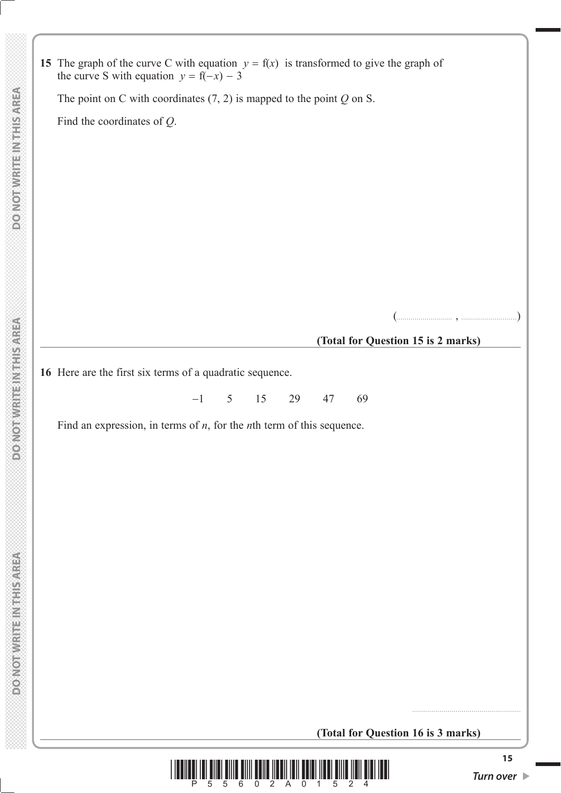**15** The graph of the curve C with equation  $y = f(x)$  is transformed to give the graph of the curve S with equation  $y = f(-x) - 3$ 

The point on C with coordinates (7, 2) is mapped to the point *Q* on S.

Find the coordinates of *Q*.

(............................ , ............................)

### **(Total for Question 15 is 2 marks)**

**16** Here are the first six terms of a quadratic sequence.

 $-1$  5 15 29 47 69

Find an expression, in terms of *n*, for the *n*th term of this sequence.

**(Total for Question 16 is 3 marks)**



.......................................................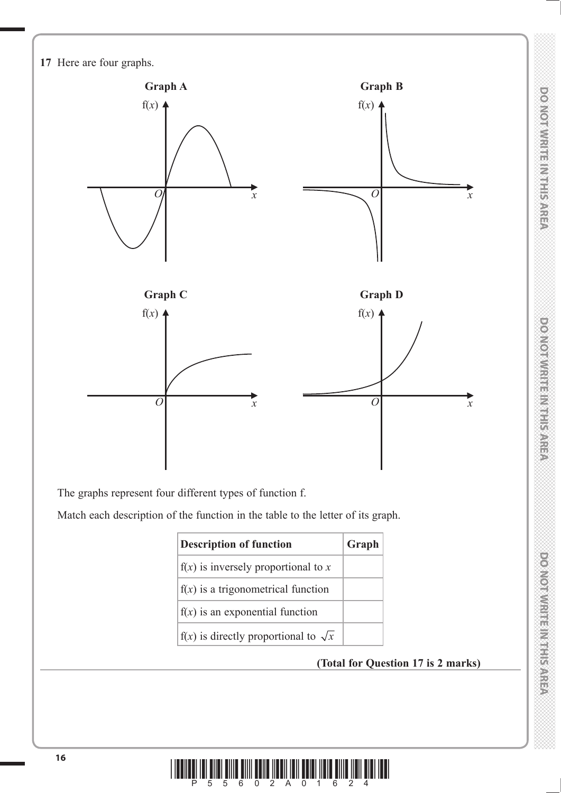

The graphs represent four different types of function f.

Match each description of the function in the table to the letter of its graph.

| <b>Description of function</b>                | Graph |
|-----------------------------------------------|-------|
| $f(x)$ is inversely proportional to x         |       |
| $f(x)$ is a trigonometrical function          |       |
| $f(x)$ is an exponential function             |       |
| $f(x)$ is directly proportional to $\sqrt{x}$ |       |

# **(Total for Question 17 is 2 marks)**

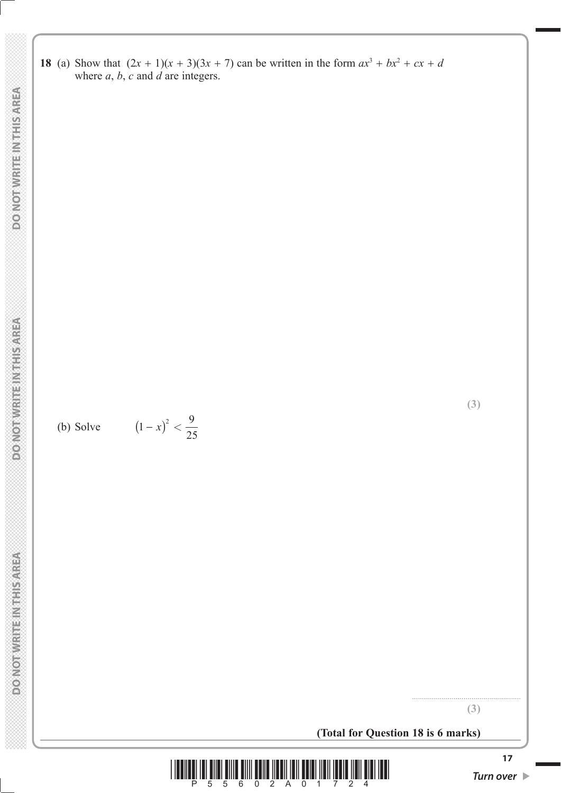**18** (a) Show that  $(2x + 1)(x + 3)(3x + 7)$  can be written in the form  $ax^3 + bx^2 + cx + d$ where *a*, *b*, *c* and *d* are integers.

(b) Solve  $(1-x)^2 < \frac{9}{2}$  $(1-x)^2 <$ 

25

**(Total for Question 18 is 6 marks)**



....................................................... **(3)**

**(3)**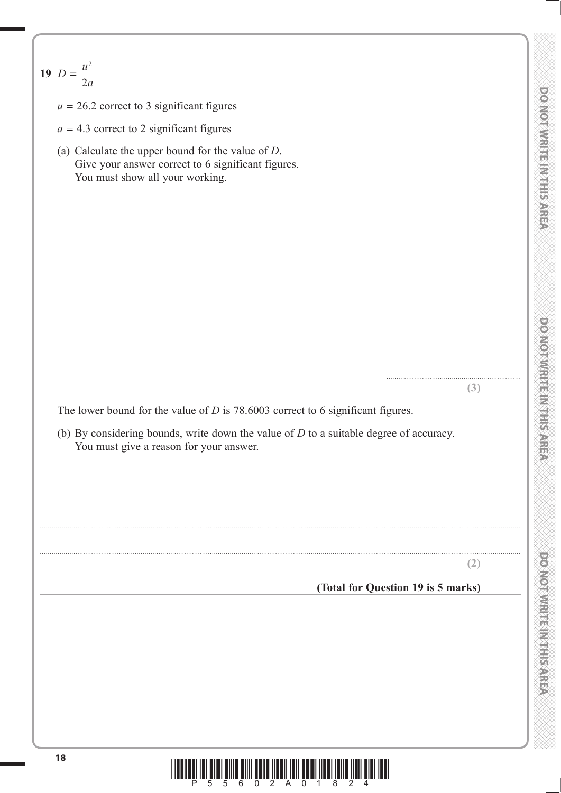**19**  $D = \frac{u^2}{2a}$ 

- $u = 26.2$  correct to 3 significant figures
- $a = 4.3$  correct to 2 significant figures
- (a) Calculate the upper bound for the value of *D*. Give your answer correct to 6 significant figures. You must show all your working.

The lower bound for the value of *D* is 78.6003 correct to 6 significant figures.

 (b) By considering bounds, write down the value of *D* to a suitable degree of accuracy. You must give a reason for your answer.

...................................................................................................................................................................................................................................................

...................................................................................................................................................................................................................................................

**(2)**

....................................................................

**(3)**

**(Total for Question 19 is 5 marks)**

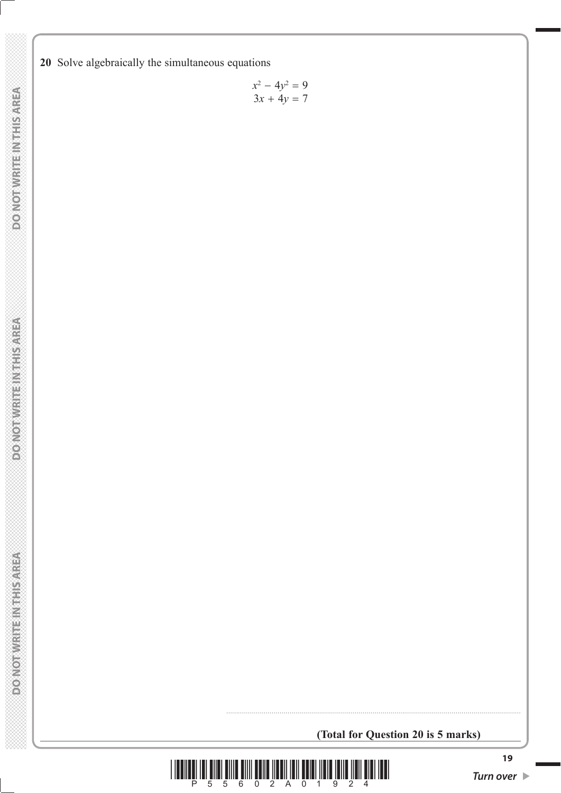**20** Solve algebraically the simultaneous equations

$$
x^2 - 4y^2 = 9
$$
  
3x + 4y = 7

**(Total for Question 20 is 5 marks)**

.....................................................................................................................................................

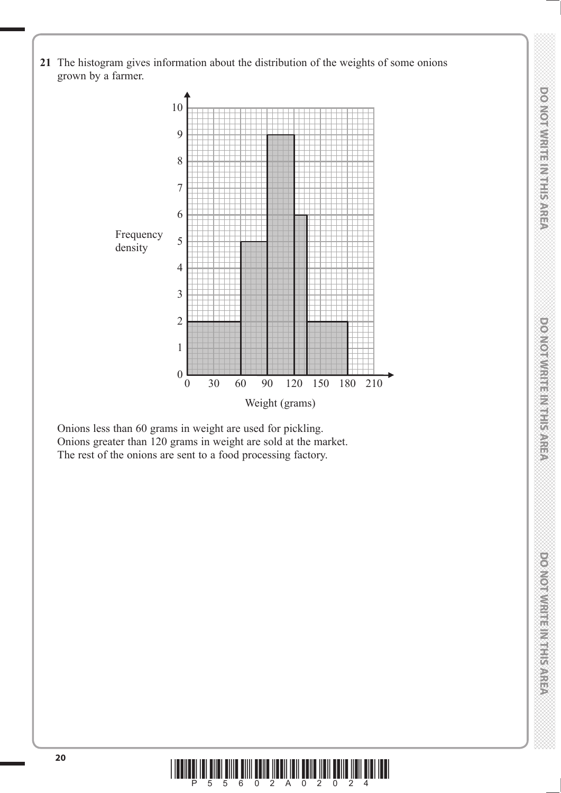**21** The histogram gives information about the distribution of the weights of some onions grown by a farmer.



 Onions less than 60 grams in weight are used for pickling. Onions greater than 120 grams in weight are sold at the market. The rest of the onions are sent to a food processing factory.



**DONOINMENTENTIERS** 

DO NOT WIRTE IN THIS AREA

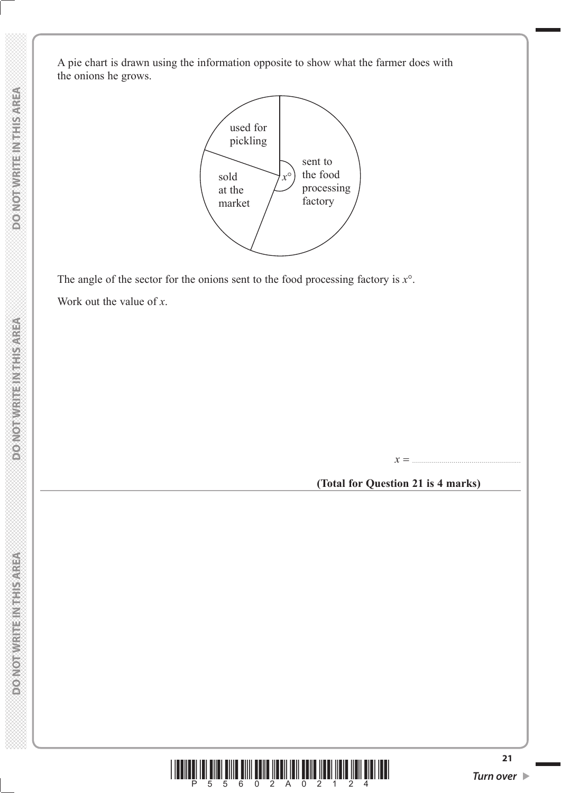A pie chart is drawn using the information opposite to show what the farmer does with the onions he grows.



The angle of the sector for the onions sent to the food processing factory is *x*°.

Work out the value of *x*.

**(Total for Question 21 is 4 marks)**

*x* .......................................................



**DO NOT WRITE IN THIS AREA** 

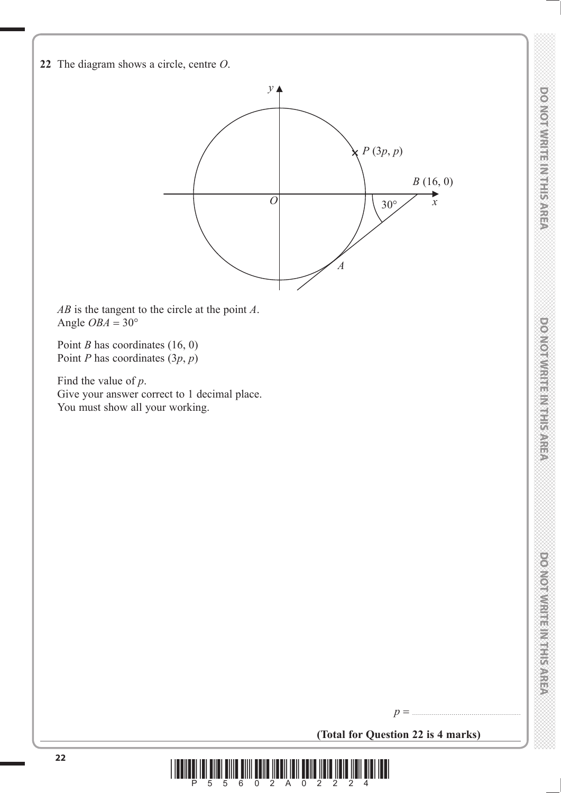



*AB* is the tangent to the circle at the point *A*. Angle  $OBA = 30^{\circ}$ 

Point *B* has coordinates (16, 0) Point *P* has coordinates (3*p*, *p*)

 Find the value of *p*. Give your answer correct to 1 decimal place. You must show all your working.

**(Total for Question 22 is 4 marks)**

*p* .......................................................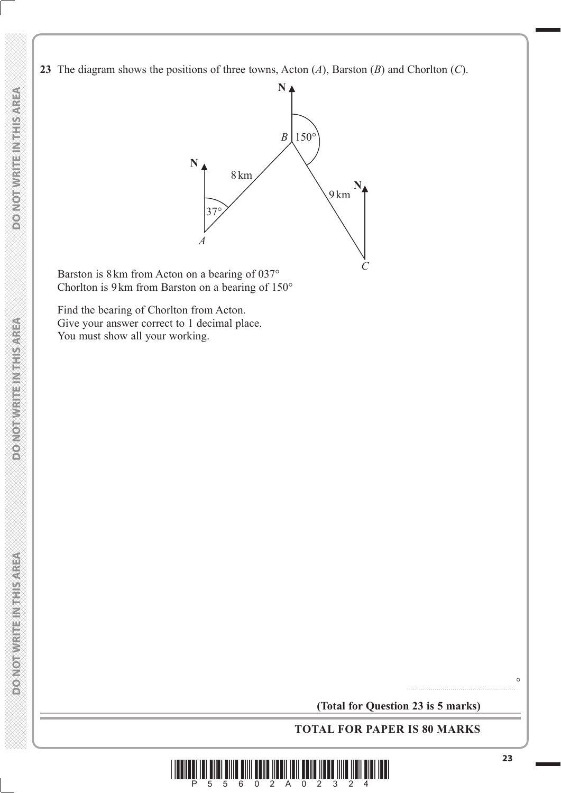**23** The diagram shows the positions of three towns, Acton (*A*), Barston (*B*) and Chorlton (*C*).



 Barston is 8 km from Acton on a bearing of 037° Chorlton is 9 km from Barston on a bearing of 150°

 Find the bearing of Chorlton from Acton. Give your answer correct to 1 decimal place. You must show all your working.

**(Total for Question 23 is 5 marks)**

**TOTAL FOR PAPER IS 80 MARKS**



.......................................................°